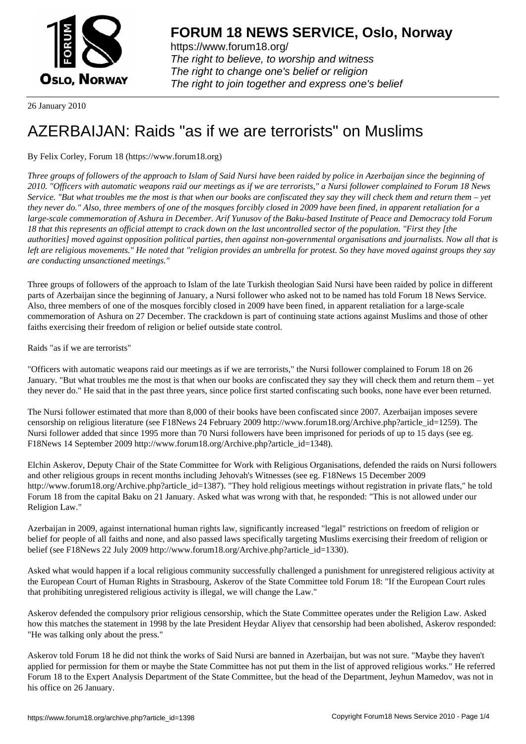

https://www.forum18.org/ The right to believe, to worship and witness The right to change one's belief or religion [The right to join together a](https://www.forum18.org/)nd express one's belief

26 January 2010

## [AZERBAIJAN: R](https://www.forum18.org)aids "as if we are terrorists" on Muslims

By Felix Corley, Forum 18 (https://www.forum18.org)

*Three groups of followers of the approach to Islam of Said Nursi have been raided by police in Azerbaijan since the beginning of 2010. "Officers with automatic weapons raid our meetings as if we are terrorists," a Nursi follower complained to Forum 18 News Service. "But what troubles me the most is that when our books are confiscated they say they will check them and return them – yet they never do." Also, three members of one of the mosques forcibly closed in 2009 have been fined, in apparent retaliation for a large-scale commemoration of Ashura in December. Arif Yunusov of the Baku-based Institute of Peace and Democracy told Forum 18 that this represents an official attempt to crack down on the last uncontrolled sector of the population. "First they [the authorities] moved against opposition political parties, then against non-governmental organisations and journalists. Now all that is left are religious movements." He noted that "religion provides an umbrella for protest. So they have moved against groups they say are conducting unsanctioned meetings."*

Three groups of followers of the approach to Islam of the late Turkish theologian Said Nursi have been raided by police in different parts of Azerbaijan since the beginning of January, a Nursi follower who asked not to be named has told Forum 18 News Service. Also, three members of one of the mosques forcibly closed in 2009 have been fined, in apparent retaliation for a large-scale commemoration of Ashura on 27 December. The crackdown is part of continuing state actions against Muslims and those of other faiths exercising their freedom of religion or belief outside state control.

Raids "as if we are terrorists"

"Officers with automatic weapons raid our meetings as if we are terrorists," the Nursi follower complained to Forum 18 on 26 January. "But what troubles me the most is that when our books are confiscated they say they will check them and return them – yet they never do." He said that in the past three years, since police first started confiscating such books, none have ever been returned.

The Nursi follower estimated that more than 8,000 of their books have been confiscated since 2007. Azerbaijan imposes severe censorship on religious literature (see F18News 24 February 2009 http://www.forum18.org/Archive.php?article\_id=1259). The Nursi follower added that since 1995 more than 70 Nursi followers have been imprisoned for periods of up to 15 days (see eg. F18News 14 September 2009 http://www.forum18.org/Archive.php?article\_id=1348).

Elchin Askerov, Deputy Chair of the State Committee for Work with Religious Organisations, defended the raids on Nursi followers and other religious groups in recent months including Jehovah's Witnesses (see eg. F18News 15 December 2009 http://www.forum18.org/Archive.php?article\_id=1387). "They hold religious meetings without registration in private flats," he told Forum 18 from the capital Baku on 21 January. Asked what was wrong with that, he responded: "This is not allowed under our Religion Law."

Azerbaijan in 2009, against international human rights law, significantly increased "legal" restrictions on freedom of religion or belief for people of all faiths and none, and also passed laws specifically targeting Muslims exercising their freedom of religion or belief (see F18News 22 July 2009 http://www.forum18.org/Archive.php?article\_id=1330).

Asked what would happen if a local religious community successfully challenged a punishment for unregistered religious activity at the European Court of Human Rights in Strasbourg, Askerov of the State Committee told Forum 18: "If the European Court rules that prohibiting unregistered religious activity is illegal, we will change the Law."

Askerov defended the compulsory prior religious censorship, which the State Committee operates under the Religion Law. Asked how this matches the statement in 1998 by the late President Heydar Aliyev that censorship had been abolished, Askerov responded: "He was talking only about the press."

Askerov told Forum 18 he did not think the works of Said Nursi are banned in Azerbaijan, but was not sure. "Maybe they haven't applied for permission for them or maybe the State Committee has not put them in the list of approved religious works." He referred Forum 18 to the Expert Analysis Department of the State Committee, but the head of the Department, Jeyhun Mamedov, was not in his office on 26 January.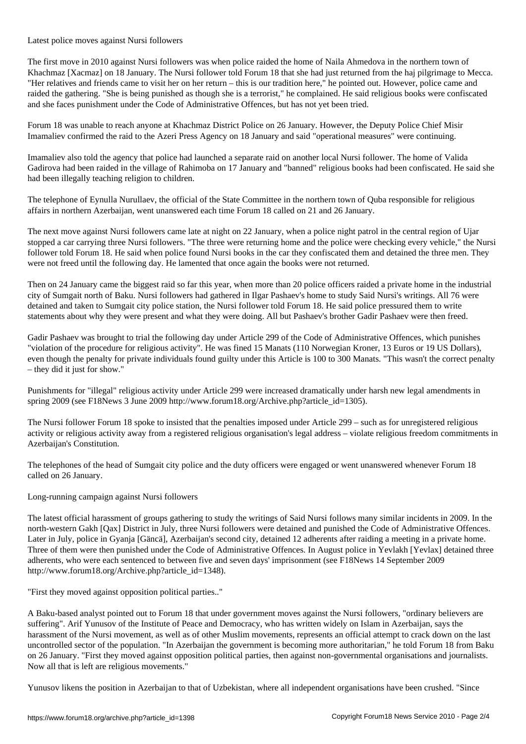Latest police moves against Nursi followers

The first move in 2010 against Nursi followers was when police raided the home of Naila Ahmedova in the northern town of Khachmaz [Xacmaz] on 18 January. The Nursi follower told Forum 18 that she had just returned from the haj pilgrimage to Mecca. "Her relatives and friends came to visit her on her return – this is our tradition here," he pointed out. However, police came and raided the gathering. "She is being punished as though she is a terrorist," he complained. He said religious books were confiscated and she faces punishment under the Code of Administrative Offences, but has not yet been tried.

Forum 18 was unable to reach anyone at Khachmaz District Police on 26 January. However, the Deputy Police Chief Misir Imamaliev confirmed the raid to the Azeri Press Agency on 18 January and said "operational measures" were continuing.

Imamaliev also told the agency that police had launched a separate raid on another local Nursi follower. The home of Valida Gadirova had been raided in the village of Rahimoba on 17 January and "banned" religious books had been confiscated. He said she had been illegally teaching religion to children.

The telephone of Eynulla Nurullaev, the official of the State Committee in the northern town of Quba responsible for religious affairs in northern Azerbaijan, went unanswered each time Forum 18 called on 21 and 26 January.

The next move against Nursi followers came late at night on 22 January, when a police night patrol in the central region of Ujar stopped a car carrying three Nursi followers. "The three were returning home and the police were checking every vehicle," the Nursi follower told Forum 18. He said when police found Nursi books in the car they confiscated them and detained the three men. They were not freed until the following day. He lamented that once again the books were not returned.

Then on 24 January came the biggest raid so far this year, when more than 20 police officers raided a private home in the industrial city of Sumgait north of Baku. Nursi followers had gathered in Ilgar Pashaev's home to study Said Nursi's writings. All 76 were detained and taken to Sumgait city police station, the Nursi follower told Forum 18. He said police pressured them to write statements about why they were present and what they were doing. All but Pashaev's brother Gadir Pashaev were then freed.

Gadir Pashaev was brought to trial the following day under Article 299 of the Code of Administrative Offences, which punishes "violation of the procedure for religious activity". He was fined 15 Manats (110 Norwegian Kroner, 13 Euros or 19 US Dollars), even though the penalty for private individuals found guilty under this Article is 100 to 300 Manats. "This wasn't the correct penalty – they did it just for show."

Punishments for "illegal" religious activity under Article 299 were increased dramatically under harsh new legal amendments in spring 2009 (see F18News 3 June 2009 http://www.forum18.org/Archive.php?article\_id=1305).

The Nursi follower Forum 18 spoke to insisted that the penalties imposed under Article 299 – such as for unregistered religious activity or religious activity away from a registered religious organisation's legal address – violate religious freedom commitments in Azerbaijan's Constitution.

The telephones of the head of Sumgait city police and the duty officers were engaged or went unanswered whenever Forum 18 called on 26 January.

Long-running campaign against Nursi followers

The latest official harassment of groups gathering to study the writings of Said Nursi follows many similar incidents in 2009. In the north-western Gakh [Qax] District in July, three Nursi followers were detained and punished the Code of Administrative Offences. Later in July, police in Gyanja [Gäncä], Azerbaijan's second city, detained 12 adherents after raiding a meeting in a private home. Three of them were then punished under the Code of Administrative Offences. In August police in Yevlakh [Yevlax] detained three adherents, who were each sentenced to between five and seven days' imprisonment (see F18News 14 September 2009 http://www.forum18.org/Archive.php?article\_id=1348).

"First they moved against opposition political parties.."

A Baku-based analyst pointed out to Forum 18 that under government moves against the Nursi followers, "ordinary believers are suffering". Arif Yunusov of the Institute of Peace and Democracy, who has written widely on Islam in Azerbaijan, says the harassment of the Nursi movement, as well as of other Muslim movements, represents an official attempt to crack down on the last uncontrolled sector of the population. "In Azerbaijan the government is becoming more authoritarian," he told Forum 18 from Baku on 26 January. "First they moved against opposition political parties, then against non-governmental organisations and journalists. Now all that is left are religious movements."

Yunusov likens the position in Azerbaijan to that of Uzbekistan, where all independent organisations have been crushed. "Since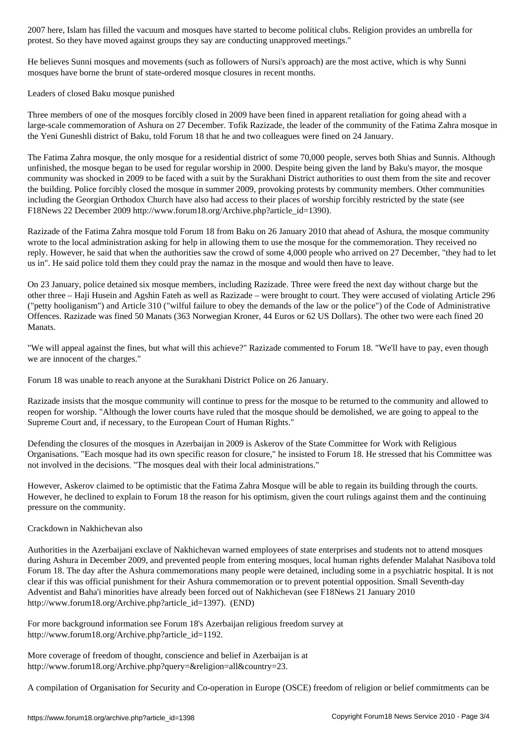protest. So they have moved against groups they say are conducting unapproved meetings."

He believes Sunni mosques and movements (such as followers of Nursi's approach) are the most active, which is why Sunni mosques have borne the brunt of state-ordered mosque closures in recent months.

Leaders of closed Baku mosque punished

Three members of one of the mosques forcibly closed in 2009 have been fined in apparent retaliation for going ahead with a large-scale commemoration of Ashura on 27 December. Tofik Razizade, the leader of the community of the Fatima Zahra mosque in the Yeni Guneshli district of Baku, told Forum 18 that he and two colleagues were fined on 24 January.

The Fatima Zahra mosque, the only mosque for a residential district of some 70,000 people, serves both Shias and Sunnis. Although unfinished, the mosque began to be used for regular worship in 2000. Despite being given the land by Baku's mayor, the mosque community was shocked in 2009 to be faced with a suit by the Surakhani District authorities to oust them from the site and recover the building. Police forcibly closed the mosque in summer 2009, provoking protests by community members. Other communities including the Georgian Orthodox Church have also had access to their places of worship forcibly restricted by the state (see F18News 22 December 2009 http://www.forum18.org/Archive.php?article\_id=1390).

Razizade of the Fatima Zahra mosque told Forum 18 from Baku on 26 January 2010 that ahead of Ashura, the mosque community wrote to the local administration asking for help in allowing them to use the mosque for the commemoration. They received no reply. However, he said that when the authorities saw the crowd of some 4,000 people who arrived on 27 December, "they had to let us in". He said police told them they could pray the namaz in the mosque and would then have to leave.

On 23 January, police detained six mosque members, including Razizade. Three were freed the next day without charge but the other three – Haji Husein and Agshin Fateh as well as Razizade – were brought to court. They were accused of violating Article 296 ("petty hooliganism") and Article 310 ("wilful failure to obey the demands of the law or the police") of the Code of Administrative Offences. Razizade was fined 50 Manats (363 Norwegian Kroner, 44 Euros or 62 US Dollars). The other two were each fined 20 Manats.

"We will appeal against the fines, but what will this achieve?" Razizade commented to Forum 18. "We'll have to pay, even though we are innocent of the charges."

Forum 18 was unable to reach anyone at the Surakhani District Police on 26 January.

Razizade insists that the mosque community will continue to press for the mosque to be returned to the community and allowed to reopen for worship. "Although the lower courts have ruled that the mosque should be demolished, we are going to appeal to the Supreme Court and, if necessary, to the European Court of Human Rights."

Defending the closures of the mosques in Azerbaijan in 2009 is Askerov of the State Committee for Work with Religious Organisations. "Each mosque had its own specific reason for closure," he insisted to Forum 18. He stressed that his Committee was not involved in the decisions. "The mosques deal with their local administrations."

However, Askerov claimed to be optimistic that the Fatima Zahra Mosque will be able to regain its building through the courts. However, he declined to explain to Forum 18 the reason for his optimism, given the court rulings against them and the continuing pressure on the community.

## Crackdown in Nakhichevan also

Authorities in the Azerbaijani exclave of Nakhichevan warned employees of state enterprises and students not to attend mosques during Ashura in December 2009, and prevented people from entering mosques, local human rights defender Malahat Nasibova told Forum 18. The day after the Ashura commemorations many people were detained, including some in a psychiatric hospital. It is not clear if this was official punishment for their Ashura commemoration or to prevent potential opposition. Small Seventh-day Adventist and Baha'i minorities have already been forced out of Nakhichevan (see F18News 21 January 2010 http://www.forum18.org/Archive.php?article\_id=1397). (END)

For more background information see Forum 18's Azerbaijan religious freedom survey at http://www.forum18.org/Archive.php?article\_id=1192.

More coverage of freedom of thought, conscience and belief in Azerbaijan is at http://www.forum18.org/Archive.php?query=&religion=all&country=23.

A compilation of Organisation for Security and Co-operation in Europe (OSCE) freedom of religion or belief commitments can be